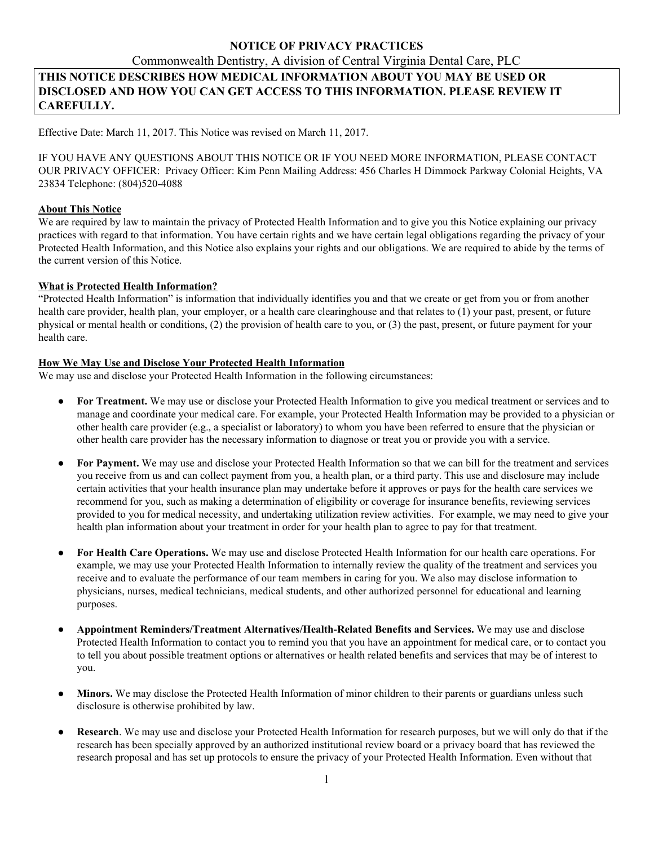# **NOTICE OF PRIVACY PRACTICES**

# Commonwealth Dentistry, A division of Central Virginia Dental Care, PLC **THIS NOTICE DESCRIBES HOW MEDICAL INFORMATION ABOUT YOU MAY BE USED OR DISCLOSED AND HOW YOU CAN GET ACCESS TO THIS INFORMATION. PLEASE REVIEW IT CAREFULLY.**

Effective Date: March 11, 2017. This Notice was revised on March 11, 2017.

IF YOU HAVE ANY QUESTIONS ABOUT THIS NOTICE OR IF YOU NEED MORE INFORMATION, PLEASE CONTACT OUR PRIVACY OFFICER: Privacy Officer: Kim Penn Mailing Address: 456 Charles H Dimmock Parkway Colonial Heights, VA 23834 Telephone: (804)520-4088

#### **About This Notice**

We are required by law to maintain the privacy of Protected Health Information and to give you this Notice explaining our privacy practices with regard to that information. You have certain rights and we have certain legal obligations regarding the privacy of your Protected Health Information, and this Notice also explains your rights and our obligations. We are required to abide by the terms of the current version of this Notice.

#### **What is Protected Health Information?**

"Protected Health Information" is information that individually identifies you and that we create or get from you or from another health care provider, health plan, your employer, or a health care clearinghouse and that relates to (1) your past, present, or future physical or mental health or conditions, (2) the provision of health care to you, or (3) the past, present, or future payment for your health care.

## **How We May Use and Disclose Your Protected Health Information**

We may use and disclose your Protected Health Information in the following circumstances:

- **For Treatment.** We may use or disclose your Protected Health Information to give you medical treatment or services and to manage and coordinate your medical care. For example, your Protected Health Information may be provided to a physician or other health care provider (e.g., a specialist or laboratory) to whom you have been referred to ensure that the physician or other health care provider has the necessary information to diagnose or treat you or provide you with a service.
- For Payment. We may use and disclose your Protected Health Information so that we can bill for the treatment and services you receive from us and can collect payment from you, a health plan, or a third party. This use and disclosure may include certain activities that your health insurance plan may undertake before it approves or pays for the health care services we recommend for you, such as making a determination of eligibility or coverage for insurance benefits, reviewing services provided to you for medical necessity, and undertaking utilization review activities. For example, we may need to give your health plan information about your treatment in order for your health plan to agree to pay for that treatment.
- **For Health Care Operations.** We may use and disclose Protected Health Information for our health care operations. For example, we may use your Protected Health Information to internally review the quality of the treatment and services you receive and to evaluate the performance of our team members in caring for you. We also may disclose information to physicians, nurses, medical technicians, medical students, and other authorized personnel for educational and learning purposes.
- **Appointment Reminders/Treatment Alternatives/Health-Related Benefits and Services.** We may use and disclose Protected Health Information to contact you to remind you that you have an appointment for medical care, or to contact you to tell you about possible treatment options or alternatives or health related benefits and services that may be of interest to you.
- Minors. We may disclose the Protected Health Information of minor children to their parents or guardians unless such disclosure is otherwise prohibited by law.
- **Research**. We may use and disclose your Protected Health Information for research purposes, but we will only do that if the research has been specially approved by an authorized institutional review board or a privacy board that has reviewed the research proposal and has set up protocols to ensure the privacy of your Protected Health Information. Even without that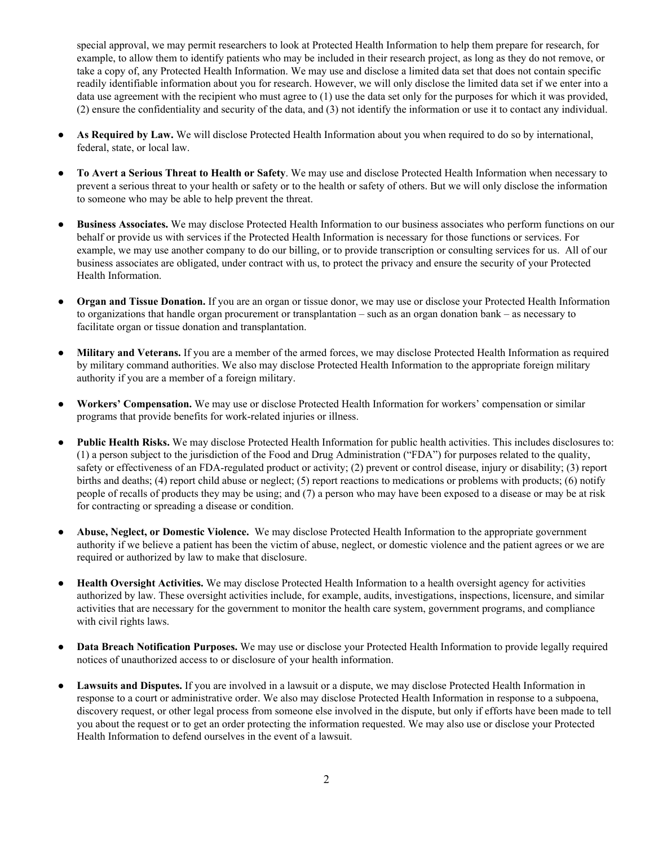special approval, we may permit researchers to look at Protected Health Information to help them prepare for research, for example, to allow them to identify patients who may be included in their research project, as long as they do not remove, or take a copy of, any Protected Health Information. We may use and disclose a limited data set that does not contain specific readily identifiable information about you for research. However, we will only disclose the limited data set if we enter into a data use agreement with the recipient who must agree to (1) use the data set only for the purposes for which it was provided, (2) ensure the confidentiality and security of the data, and (3) not identify the information or use it to contact any individual.

- **As Required by Law.** We will disclose Protected Health Information about you when required to do so by international, federal, state, or local law.
- **To Avert a Serious Threat to Health or Safety**. We may use and disclose Protected Health Information when necessary to prevent a serious threat to your health or safety or to the health or safety of others. But we will only disclose the information to someone who may be able to help prevent the threat.
- **Business Associates.** We may disclose Protected Health Information to our business associates who perform functions on our behalf or provide us with services if the Protected Health Information is necessary for those functions or services. For example, we may use another company to do our billing, or to provide transcription or consulting services for us. All of our business associates are obligated, under contract with us, to protect the privacy and ensure the security of your Protected Health Information.
- **Organ and Tissue Donation.** If you are an organ or tissue donor, we may use or disclose your Protected Health Information to organizations that handle organ procurement or transplantation – such as an organ donation bank – as necessary to facilitate organ or tissue donation and transplantation.
- **Military and Veterans.** If you are a member of the armed forces, we may disclose Protected Health Information as required by military command authorities. We also may disclose Protected Health Information to the appropriate foreign military authority if you are a member of a foreign military.
- **Workers' Compensation.** We may use or disclose Protected Health Information for workers' compensation or similar programs that provide benefits for work-related injuries or illness.
- **Public Health Risks.** We may disclose Protected Health Information for public health activities. This includes disclosures to: (1) a person subject to the jurisdiction of the Food and Drug Administration ("FDA") for purposes related to the quality, safety or effectiveness of an FDA-regulated product or activity; (2) prevent or control disease, injury or disability; (3) report births and deaths; (4) report child abuse or neglect; (5) report reactions to medications or problems with products; (6) notify people of recalls of products they may be using; and (7) a person who may have been exposed to a disease or may be at risk for contracting or spreading a disease or condition.
- **Abuse, Neglect, or Domestic Violence.** We may disclose Protected Health Information to the appropriate government authority if we believe a patient has been the victim of abuse, neglect, or domestic violence and the patient agrees or we are required or authorized by law to make that disclosure.
- **Health Oversight Activities.** We may disclose Protected Health Information to a health oversight agency for activities authorized by law. These oversight activities include, for example, audits, investigations, inspections, licensure, and similar activities that are necessary for the government to monitor the health care system, government programs, and compliance with civil rights laws.
- **Data Breach Notification Purposes.** We may use or disclose your Protected Health Information to provide legally required notices of unauthorized access to or disclosure of your health information.
- Lawsuits and Disputes. If you are involved in a lawsuit or a dispute, we may disclose Protected Health Information in response to a court or administrative order. We also may disclose Protected Health Information in response to a subpoena, discovery request, or other legal process from someone else involved in the dispute, but only if efforts have been made to tell you about the request or to get an order protecting the information requested. We may also use or disclose your Protected Health Information to defend ourselves in the event of a lawsuit.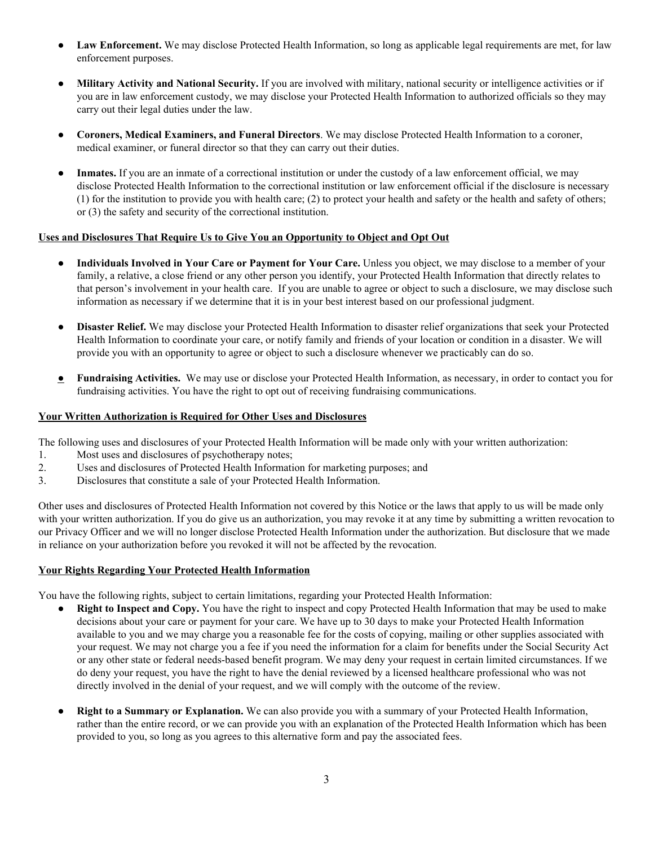- **Law Enforcement.** We may disclose Protected Health Information, so long as applicable legal requirements are met, for law enforcement purposes.
- **Military Activity and National Security.** If you are involved with military, national security or intelligence activities or if you are in law enforcement custody, we may disclose your Protected Health Information to authorized officials so they may carry out their legal duties under the law.
- **Coroners, Medical Examiners, and Funeral Directors**. We may disclose Protected Health Information to a coroner, medical examiner, or funeral director so that they can carry out their duties.
- **Inmates.** If you are an inmate of a correctional institution or under the custody of a law enforcement official, we may disclose Protected Health Information to the correctional institution or law enforcement official if the disclosure is necessary (1) for the institution to provide you with health care; (2) to protect your health and safety or the health and safety of others; or (3) the safety and security of the correctional institution.

## **Uses and Disclosures That Require Us to Give You an Opportunity to Object and Opt Out**

- **Individuals Involved in Your Care or Payment for Your Care.** Unless you object, we may disclose to a member of your family, a relative, a close friend or any other person you identify, your Protected Health Information that directly relates to that person's involvement in your health care. If you are unable to agree or object to such a disclosure, we may disclose such information as necessary if we determine that it is in your best interest based on our professional judgment.
- **Disaster Relief.** We may disclose your Protected Health Information to disaster relief organizations that seek your Protected Health Information to coordinate your care, or notify family and friends of your location or condition in a disaster. We will provide you with an opportunity to agree or object to such a disclosure whenever we practicably can do so.
- **● Fundraising Activities.** We may use or disclose your Protected Health Information, as necessary, in order to contact you for fundraising activities. You have the right to opt out of receiving fundraising communications.

# **Your Written Authorization is Required for Other Uses and Disclosures**

The following uses and disclosures of your Protected Health Information will be made only with your written authorization:

- 1. Most uses and disclosures of psychotherapy notes;
- 2. Uses and disclosures of Protected Health Information for marketing purposes; and
- 3. Disclosures that constitute a sale of your Protected Health Information.

Other uses and disclosures of Protected Health Information not covered by this Notice or the laws that apply to us will be made only with your written authorization. If you do give us an authorization, you may revoke it at any time by submitting a written revocation to our Privacy Officer and we will no longer disclose Protected Health Information under the authorization. But disclosure that we made in reliance on your authorization before you revoked it will not be affected by the revocation.

## **Your Rights Regarding Your Protected Health Information**

You have the following rights, subject to certain limitations, regarding your Protected Health Information:

- **Right** to Inspect and Copy. You have the right to inspect and copy Protected Health Information that may be used to make decisions about your care or payment for your care. We have up to 30 days to make your Protected Health Information available to you and we may charge you a reasonable fee for the costs of copying, mailing or other supplies associated with your request. We may not charge you a fee if you need the information for a claim for benefits under the Social Security Act or any other state or federal needs-based benefit program. We may deny your request in certain limited circumstances. If we do deny your request, you have the right to have the denial reviewed by a licensed healthcare professional who was not directly involved in the denial of your request, and we will comply with the outcome of the review.
- **● Right to a Summary or Explanation.** We can also provide you with a summary of your Protected Health Information, rather than the entire record, or we can provide you with an explanation of the Protected Health Information which has been provided to you, so long as you agrees to this alternative form and pay the associated fees.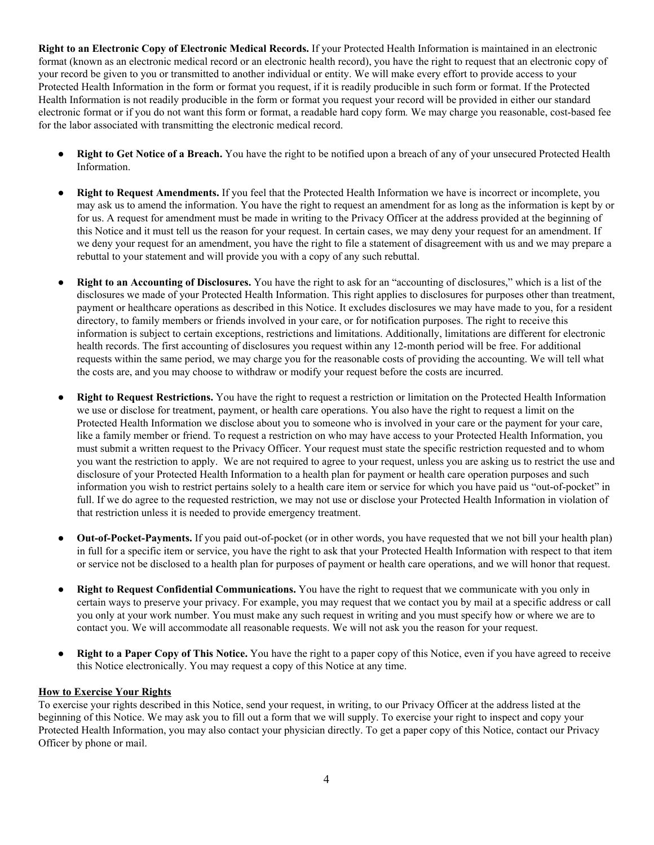**Right to an Electronic Copy of Electronic Medical Records.** If your Protected Health Information is maintained in an electronic format (known as an electronic medical record or an electronic health record), you have the right to request that an electronic copy of your record be given to you or transmitted to another individual or entity. We will make every effort to provide access to your Protected Health Information in the form or format you request, if it is readily producible in such form or format. If the Protected Health Information is not readily producible in the form or format you request your record will be provided in either our standard electronic format or if you do not want this form or format, a readable hard copy form*.* We may charge you reasonable, cost-based fee for the labor associated with transmitting the electronic medical record.

- **Right** to Get Notice of a Breach. You have the right to be notified upon a breach of any of your unsecured Protected Health Information.
- **Right to Request Amendments.** If you feel that the Protected Health Information we have is incorrect or incomplete, you may ask us to amend the information. You have the right to request an amendment for as long as the information is kept by or for us. A request for amendment must be made in writing to the Privacy Officer at the address provided at the beginning of this Notice and it must tell us the reason for your request. In certain cases, we may deny your request for an amendment. If we deny your request for an amendment, you have the right to file a statement of disagreement with us and we may prepare a rebuttal to your statement and will provide you with a copy of any such rebuttal.
- **Right to an Accounting of Disclosures.** You have the right to ask for an "accounting of disclosures," which is a list of the disclosures we made of your Protected Health Information. This right applies to disclosures for purposes other than treatment, payment or healthcare operations as described in this Notice. It excludes disclosures we may have made to you, for a resident directory, to family members or friends involved in your care, or for notification purposes. The right to receive this information is subject to certain exceptions, restrictions and limitations. Additionally, limitations are different for electronic health records. The first accounting of disclosures you request within any 12-month period will be free. For additional requests within the same period, we may charge you for the reasonable costs of providing the accounting. We will tell what the costs are, and you may choose to withdraw or modify your request before the costs are incurred.
- **Right to Request Restrictions.** You have the right to request a restriction or limitation on the Protected Health Information we use or disclose for treatment, payment, or health care operations. You also have the right to request a limit on the Protected Health Information we disclose about you to someone who is involved in your care or the payment for your care, like a family member or friend. To request a restriction on who may have access to your Protected Health Information, you must submit a written request to the Privacy Officer. Your request must state the specific restriction requested and to whom you want the restriction to apply. We are not required to agree to your request, unless you are asking us to restrict the use and disclosure of your Protected Health Information to a health plan for payment or health care operation purposes and such information you wish to restrict pertains solely to a health care item or service for which you have paid us "out-of-pocket" in full. If we do agree to the requested restriction, we may not use or disclose your Protected Health Information in violation of that restriction unless it is needed to provide emergency treatment.
- **Out-of-Pocket-Payments.** If you paid out-of-pocket (or in other words, you have requested that we not bill your health plan) in full for a specific item or service, you have the right to ask that your Protected Health Information with respect to that item or service not be disclosed to a health plan for purposes of payment or health care operations, and we will honor that request.
- **Right to Request Confidential Communications.** You have the right to request that we communicate with you only in certain ways to preserve your privacy. For example, you may request that we contact you by mail at a specific address or call you only at your work number. You must make any such request in writing and you must specify how or where we are to contact you. We will accommodate all reasonable requests. We will not ask you the reason for your request.
- **Right** to a **Paper** Copy of This Notice. You have the right to a paper copy of this Notice, even if you have agreed to receive this Notice electronically. You may request a copy of this Notice at any time.

## **How to Exercise Your Rights**

To exercise your rights described in this Notice, send your request, in writing, to our Privacy Officer at the address listed at the beginning of this Notice. We may ask you to fill out a form that we will supply. To exercise your right to inspect and copy your Protected Health Information, you may also contact your physician directly. To get a paper copy of this Notice, contact our Privacy Officer by phone or mail.